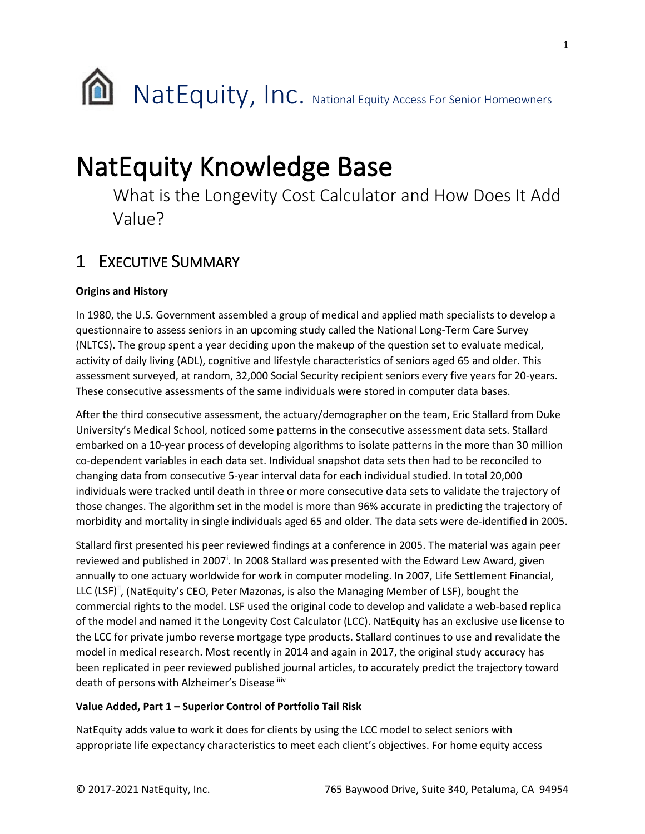

# **NatEquity Knowledge Base**<br>What is the Longevity Cost Calculator and How Does It Add

Value?

## 1 EXECUTIVE SUMMARY

## **Origins and History**

In 1980, the U.S. Government assembled a group of medical and applied math specialists to develop a questionnaire to assess seniors in an upcoming study called the National Long-Term Care Survey (NLTCS). The group spent a year deciding upon the makeup of the question set to evaluate medical, activity of daily living (ADL), cognitive and lifestyle characteristics of seniors aged 65 and older. This assessment surveyed, at random, 32,000 Social Security recipient seniors every five years for 20-years. These consecutive assessments of the same individuals were stored in computer data bases.

After the third consecutive assessment, the actuary/demographer on the team, Eric Stallard from Duke University's Medical School, noticed some patterns in the consecutive assessment data sets. Stallard embarked on a 10-year process of developing algorithms to isolate patterns in the more than 30 million co-dependent variables in each data set. Individual snapshot data sets then had to be reconciled to changing data from consecutive 5-year interval data for each individual studied. In total 20,000 individuals were tracked until death in three or more consecutive data sets to validate the trajectory of those changes. The algorithm set in the model is more than 96% accurate in predicting the trajectory of morbidity and mortality in single individuals aged 65 and older. The data sets were de-identified in 2005.

Stallard first presented his peer reviewed findings at a conference in 2005. The material was again peer rev[i](#page-10-0)ewed and published in 2007<sup>i</sup>. In 2008 Stallard was presented with the Edward Lew Award, given annually to one actuary worldwide for work in computer modeling. In 2007, Life Settlement Financial, LLC (LSF)<sup>ii</sup>, (NatEquity's CEO, Peter Mazonas, is also the Managing Member of LSF), bought the commercial rights to the model. LSF used the original code to develop and validate a web-based replica of the model and named it the Longevity Cost Calculator (LCC). NatEquity has an exclusive use license to the LCC for private jumbo reverse mortgage type products. Stallard continues to use and revalidate the model in medical research. Most recently in 2014 and again in 2017, the original study accuracy has been replicated in peer reviewed published journal articles, to accurately predict the trajectory toward death of persons with Alzheimer's Disease<sup>ii[iv](#page-11-1)</sup>

## **Value Added, Part 1 – Superior Control of Portfolio Tail Risk**

NatEquity adds value to work it does for clients by using the LCC model to select seniors with appropriate life expectancy characteristics to meet each client's objectives. For home equity access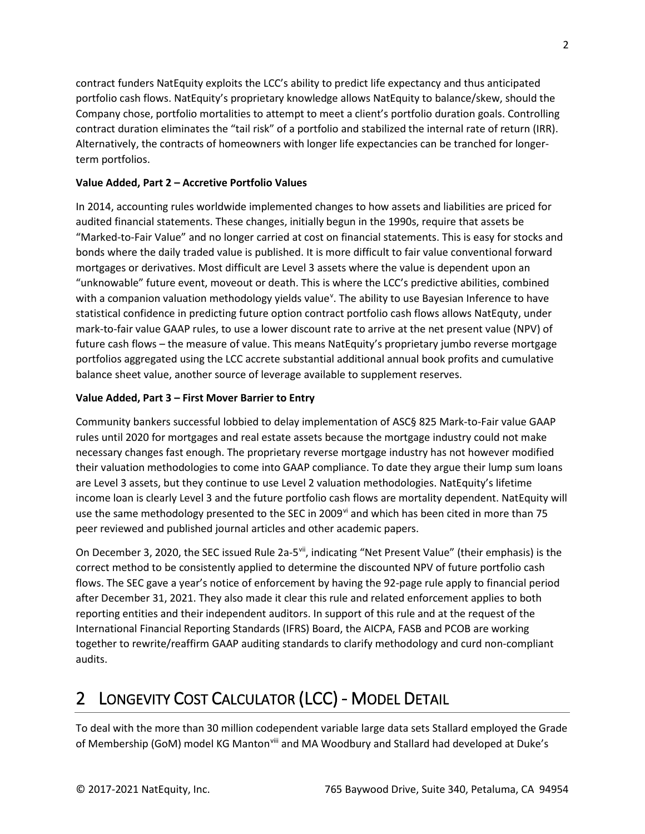contract funders NatEquity exploits the LCC's ability to predict life expectancy and thus anticipated portfolio cash flows. NatEquity's proprietary knowledge allows NatEquity to balance/skew, should the Company chose, portfolio mortalities to attempt to meet a client's portfolio duration goals. Controlling contract duration eliminates the "tail risk" of a portfolio and stabilized the internal rate of return (IRR). Alternatively, the contracts of homeowners with longer life expectancies can be tranched for longerterm portfolios.

## **Value Added, Part 2 – Accretive Portfolio Values**

In 2014, accounting rules worldwide implemented changes to how assets and liabilities are priced for audited financial statements. These changes, initially begun in the 1990s, require that assets be "Marked-to-Fair Value" and no longer carried at cost on financial statements. This is easy for stocks and bonds where the daily traded value is published. It is more difficult to fair value conventional forward mortgages or derivatives. Most difficult are Level 3 assets where the value is dependent upon an "unknowable" future event, moveout or death. This is where the LCC's predictive abilities, combined with a companion valuation methodology yields value<sup>v</sup>. The ability to use Bayesian Inference to have statistical confidence in predicting future option contract portfolio cash flows allows NatEquty, under mark-to-fair value GAAP rules, to use a lower discount rate to arrive at the net present value (NPV) of future cash flows – the measure of value. This means NatEquity's proprietary jumbo reverse mortgage portfolios aggregated using the LCC accrete substantial additional annual book profits and cumulative balance sheet value, another source of leverage available to supplement reserves.

### **Value Added, Part 3 – First Mover Barrier to Entry**

Community bankers successful lobbied to delay implementation of ASC§ 825 Mark-to-Fair value GAAP rules until 2020 for mortgages and real estate assets because the mortgage industry could not make necessary changes fast enough. The proprietary reverse mortgage industry has not however modified their valuation methodologies to come into GAAP compliance. To date they argue their lump sum loans are Level 3 assets, but they continue to use Level 2 valuation methodologies. NatEquity's lifetime income loan is clearly Level 3 and the future portfolio cash flows are mortality dependent. NatEquity will use the same methodology presented to the SEC in 2009<sup>[vi](#page-11-3)</sup> and which has been cited in more than 75 peer reviewed and published journal articles and other academic papers.

On December 3, 2020, the SEC issued Rule 2a-5<sup>[vii](#page-11-4)</sup>, indicating "Net Present Value" (their emphasis) is the correct method to be consistently applied to determine the discounted NPV of future portfolio cash flows. The SEC gave a year's notice of enforcement by having the 92-page rule apply to financial period after December 31, 2021. They also made it clear this rule and related enforcement applies to both reporting entities and their independent auditors. In support of this rule and at the request of the International Financial Reporting Standards (IFRS) Board, the AICPA, FASB and PCOB are working together to rewrite/reaffirm GAAP auditing standards to clarify methodology and curd non-compliant audits.

## 2 LONGEVITY COST CALCULATOR (LCC) - MODEL DETAIL

To deal with the more than 30 million codependent variable large data sets Stallard employed the Grade of Membership (GoM) model KG Manton<sup>[viii](#page-11-5)</sup> and MA Woodbury and Stallard had developed at Duke's

2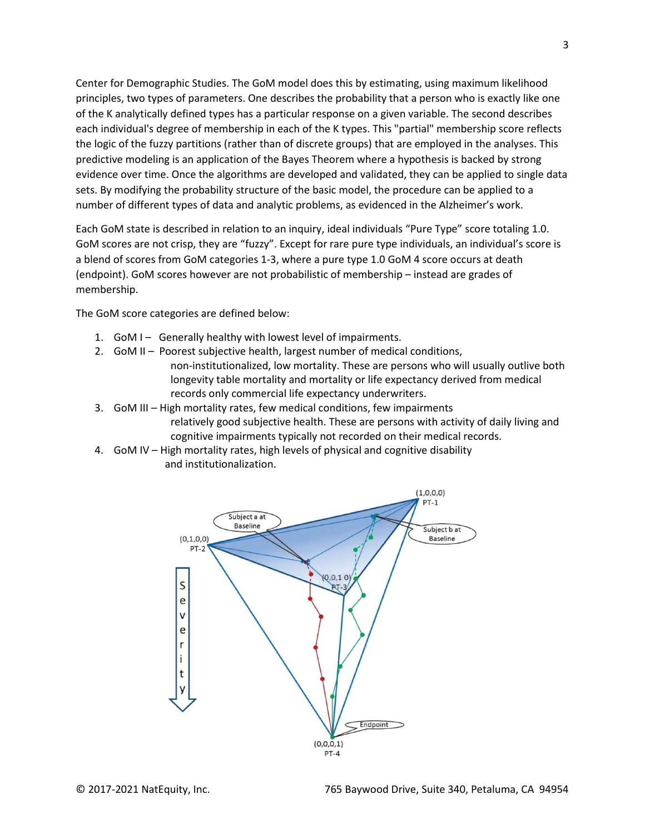Center for Demographic Studies. The GoM model does this by estimating, using maximum likelihood principles, two types of parameters. One describes the probability that a person who is exactly like one of the K analytically defined types has a particular response on a given variable. The second describes each individual's degree of membership in each of the K types. This "partial" membership score reflects the logic of the fuzzy partitions (rather than of discrete groups) that are employed in the analyses. This predictive modeling is an application of the Bayes Theorem where a hypothesis is backed by strong evidence over time. Once the algorithms are developed and validated, they can be applied to single data sets. By modifying the probability structure of the basic model, the procedure can be applied to a number of different types of data and analytic problems, as evidenced in the Alzheimer's work.

Each GoM state is described in relation to an inquiry, ideal individuals "Pure Type" score totaling 1.0. GoM scores are not crisp, they are "fuzzy". Except for rare pure type individuals, an individual's score is a blend of scores from GoM categories 1-3, where a pure type 1.0 GoM 4 score occurs at death (endpoint). GoM scores however are not probabilistic of membership – instead are grades of membership.

The GoM score categories are defined below:

- 1. GoM I Generally healthy with lowest level of impairments.
- 2. GoM II Poorest subjective health, largest number of medical conditions, non-institutionalized, low mortality. These are persons who will usually outlive both longevity table mortality and mortality or life expectancy derived from medical records only commercial life expectancy underwriters.
- 3. GoM III High mortality rates, few medical conditions, few impairments relatively good subjective health. These are persons with activity of daily living and cognitive impairments typically not recorded on their medical records.
- 4. GoM IV High mortality rates, high levels of physical and cognitive disability and institutionalization.

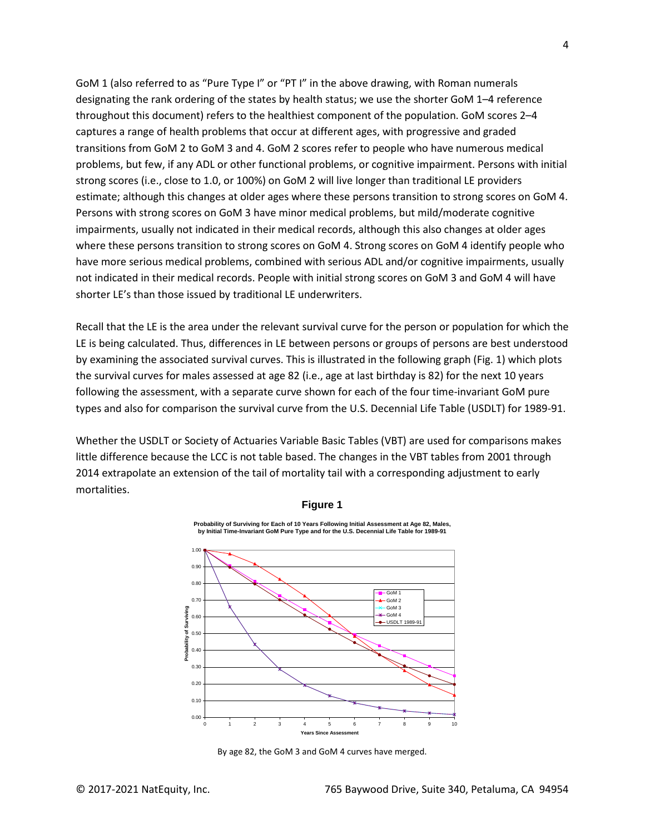GoM 1 (also referred to as "Pure Type I" or "PT I" in the above drawing, with Roman numerals designating the rank ordering of the states by health status; we use the shorter GoM 1–4 reference throughout this document) refers to the healthiest component of the population. GoM scores 2–4 captures a range of health problems that occur at different ages, with progressive and graded transitions from GoM 2 to GoM 3 and 4. GoM 2 scores refer to people who have numerous medical problems, but few, if any ADL or other functional problems, or cognitive impairment. Persons with initial strong scores (i.e., close to 1.0, or 100%) on GoM 2 will live longer than traditional LE providers estimate; although this changes at older ages where these persons transition to strong scores on GoM 4. Persons with strong scores on GoM 3 have minor medical problems, but mild/moderate cognitive impairments, usually not indicated in their medical records, although this also changes at older ages where these persons transition to strong scores on GoM 4. Strong scores on GoM 4 identify people who have more serious medical problems, combined with serious ADL and/or cognitive impairments, usually not indicated in their medical records. People with initial strong scores on GoM 3 and GoM 4 will have shorter LE's than those issued by traditional LE underwriters.

Recall that the LE is the area under the relevant survival curve for the person or population for which the LE is being calculated. Thus, differences in LE between persons or groups of persons are best understood by examining the associated survival curves. This is illustrated in the following graph (Fig. 1) which plots the survival curves for males assessed at age 82 (i.e., age at last birthday is 82) for the next 10 years following the assessment, with a separate curve shown for each of the four time-invariant GoM pure types and also for comparison the survival curve from the U.S. Decennial Life Table (USDLT) for 1989-91.

Whether the USDLT or Society of Actuaries Variable Basic Tables (VBT) are used for comparisons makes little difference because the LCC is not table based. The changes in the VBT tables from 2001 through 2014 extrapolate an extension of the tail of mortality tail with a corresponding adjustment to early mortalities.



**Figure 1**

**Probability of Surviving for Each of 10 Years Following Initial Assessment at Age 82, Males, by Initial Time-Invariant GoM Pure Type and for the U.S. Decennial Life Table for 1989-91**

By age 82, the GoM 3 and GoM 4 curves have merged.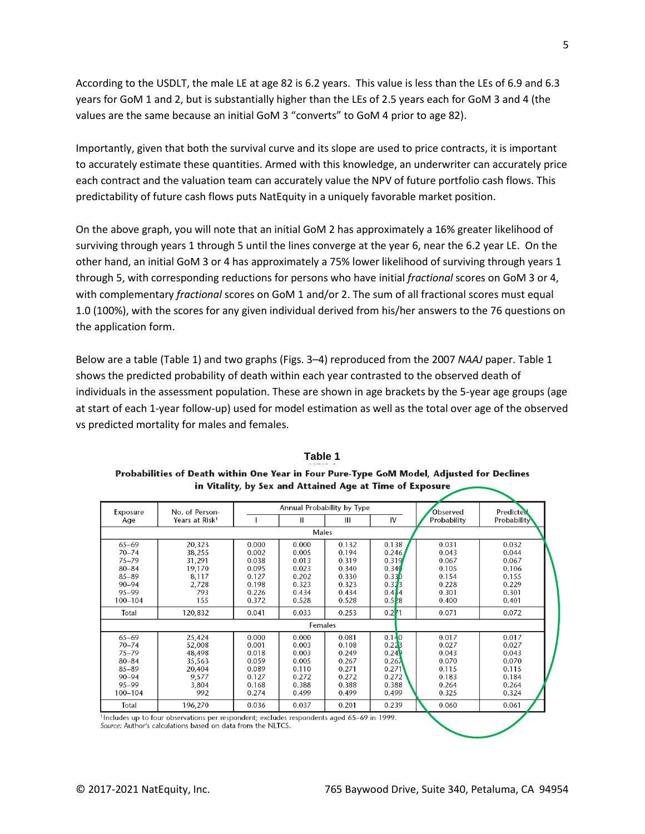According to the USDLT, the male LE at age 82 is 6.2 years. This value is less than the LEs of 6.9 and 6.3 years for GoM 1 and 2, but is substantially higher than the LEs of 2.5 years each for GoM 3 and 4 (the values are the same because an initial GoM 3 "converts" to GoM 4 prior to age 82).

Importantly, given that both the survival curve and its slope are used to price contracts, it is important to accurately estimate these quantities. Armed with this knowledge, an underwriter can accurately price each contract and the valuation team can accurately value the NPV of future portfolio cash flows. This predictability of future cash flows puts NatEquity in a uniquely favorable market position.

On the above graph, you will note that an initial GoM 2 has approximately a 16% greater likelihood of surviving through years 1 through 5 until the lines converge at the year 6, near the 6.2 year LE. On the other hand, an initial GoM 3 or 4 has approximately a 75% lower likelihood of surviving through years 1 through 5, with corresponding reductions for persons who have initial *fractional* scores on GoM 3 or 4, with complementary *fractional* scores on GoM 1 and/or 2. The sum of all fractional scores must equal 1.0 (100%), with the scores for any given individual derived from his/her answers to the 76 questions on the application form.

Below are a table (Table 1) and two graphs (Figs. 3–4) reproduced from the 2007 *NAAJ* paper. Table 1 shows the predicted probability of death within each year contrasted to the observed death of individuals in the assessment population. These are shown in age brackets by the 5-year age groups (age at start of each 1-year follow-up) used for model estimation as well as the total over age of the observed vs predicted mortality for males and females.

| Table 1                                                                                   |
|-------------------------------------------------------------------------------------------|
| Probabilities of Death within One Year in Four Pure-Type GoM Model, Adjusted for Declines |
| in Vitality, by Sex and Attained Age at Time of Exposure $\sim$                           |

| Exposure  | No. of Person-             | Annual Probability by Type |         |       |          | Observed    | Predicted   |
|-----------|----------------------------|----------------------------|---------|-------|----------|-------------|-------------|
| Age       | Years at Risk <sup>1</sup> |                            | Ш       | Ш     | IV       | Probability | Probability |
|           |                            |                            | Males   |       |          |             |             |
| $65 - 69$ | 20,323                     | 0.000                      | 0.000   | 0.132 | 0.138    | 0.031       | 0.032       |
| $70 - 74$ | 38,255                     | 0.002                      | 0.005   | 0.194 | 0.246    | 0.043       | 0.044       |
| $75 - 79$ | 31,291                     | 0.038                      | 0.013   | 0.319 | 0.319    | 0.067       | 0.067       |
| $80 - 84$ | 19,170                     | 0.095                      | 0.023   | 0.340 | 0.340    | 0.105       | 0.106       |
| $85 - 89$ | 8,117                      | 0.127                      | 0.202   | 0.330 | 0.33D    | 0.154       | 0.155       |
| $90 - 94$ | 2,728                      | 0.198                      | 0.323   | 0.323 | 0.323    | 0.228       | 0.229       |
| 95-99     | 793                        | 0.226                      | 0.434   | 0.434 | 0.414    | 0.301       | 0.301       |
| 100-104   | 155                        | 0.372                      | 0.528   | 0.528 | 0.528    | 0.400       | 0.401       |
| Total     | 120,832                    | 0.041                      | 0.033   | 0.253 | $0.2$ 71 | 0.071       | 0.072       |
|           |                            |                            | Females |       |          |             |             |
| $65 - 69$ | 25,424                     | 0.000                      | 0.000   | 0.081 | 0.140    | 0.017       | 0.017       |
| $70 - 74$ | 52,008                     | 0.001                      | 0.003   | 0.108 | 0.223    | 0.027       | 0.027       |
| $75 - 79$ | 48,498                     | 0.018                      | 0.003   | 0.249 | 0.24     | 0.043       | 0.043       |
| $80 - 84$ | 35,563                     | 0.059                      | 0.005   | 0.267 | 0.267    | 0.070       | 0.070       |
| $85 - 89$ | 20,404                     | 0.089                      | 0.110   | 0.271 | 0.271    | 0.115       | 0.115       |
| $90 - 94$ | 9,577                      | 0.127                      | 0.272   | 0.272 | 0.272    | 0.183       | 0.184       |
| $95 - 99$ | 3,804                      | 0.168                      | 0.388   | 0.388 | 0.388    | 0.264       | 0.264       |
| 100-104   | 992                        | 0.274                      | 0.499   | 0.499 | 0.499    | 0.325       | 0.324       |
| Total     | 196,270                    | 0.036                      | 0.037   | 0.201 | 0.239    | 0.060       | 0.061       |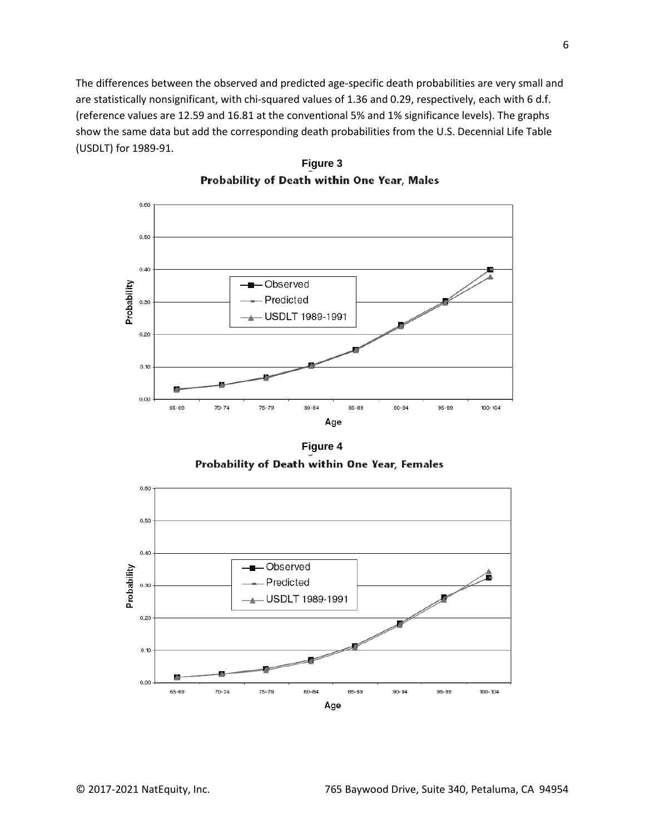The differences between the observed and predicted age-specific death probabilities are very small and are statistically nonsignificant, with chi-squared values of 1.36 and 0.29, respectively, each with 6 d.f. (reference values are 12.59 and 16.81 at the conventional 5% and 1% significance levels). The graphs show the same data but add the corresponding death probabilities from the U.S. Decennial Life Table (USDLT) for 1989-91.



**Figure 3** Probability of Death within One Year, Males

**Figure 4**Probability of Death within One Year, Females

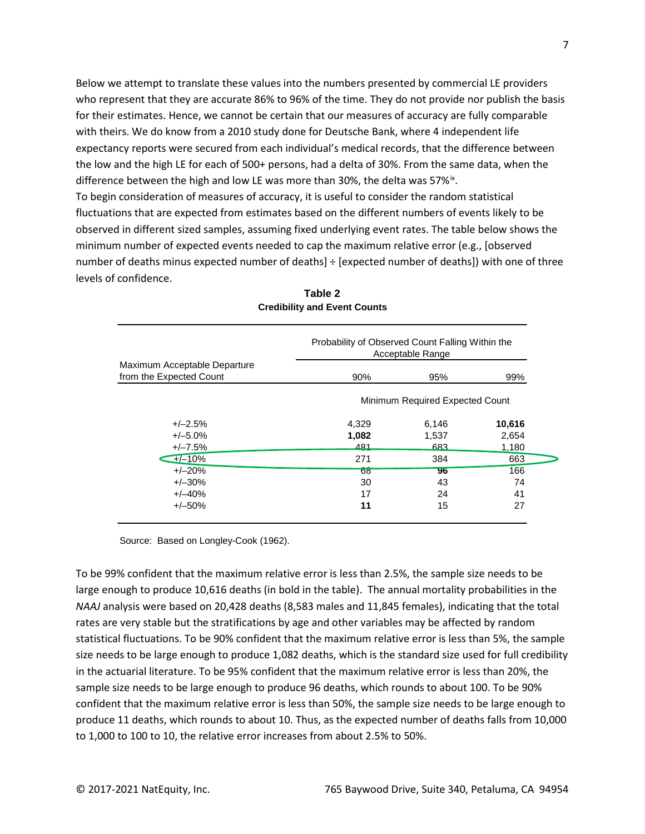Below we attempt to translate these values into the numbers presented by commercial LE providers who represent that they are accurate 86% to 96% of the time. They do not provide nor publish the basis for their estimates. Hence, we cannot be certain that our measures of accuracy are fully comparable with theirs. We do know from a 2010 study done for Deutsche Bank, where 4 independent life expectancy reports were secured from each individual's medical records, that the difference between the low and the high LE for each of 500+ persons, had a delta of 30%. From the same data, when the difference between the high and low LE was more than 30%, the delta was  $57\%$ <sup>[ix](#page-11-6)</sup>.

To begin consideration of measures of accuracy, it is useful to consider the random statistical fluctuations that are expected from estimates based on the different numbers of events likely to be observed in different sized samples, assuming fixed underlying event rates. The table below shows the minimum number of expected events needed to cap the maximum relative error (e.g., [observed number of deaths minus expected number of deaths] ÷ [expected number of deaths]) with one of three levels of confidence.

|                                                         | Probability of Observed Count Falling Within the<br>Acceptable Range |       |        |  |
|---------------------------------------------------------|----------------------------------------------------------------------|-------|--------|--|
| Maximum Acceptable Departure<br>from the Expected Count | 90%                                                                  | 95%   | 99%    |  |
|                                                         | Minimum Required Expected Count                                      |       |        |  |
| $+/-2.5%$                                               | 4,329                                                                | 6,146 | 10,616 |  |
| $+/-5.0%$                                               | 1,082                                                                | 1.537 | 2,654  |  |
| $+/-7.5%$                                               | $\overline{481}$                                                     | 683   | 1,180  |  |
| $+/-10%$                                                | 271                                                                  | 384   | 663    |  |
| $+/-20%$                                                | $\overline{\text{oo}}$                                               | 96    | 166    |  |
| $+/-30%$                                                | 30                                                                   | 43    | 74     |  |
| $+/-40%$                                                | 17                                                                   | 24    | 41     |  |
| $+/-50%$                                                | 11                                                                   | 15    | 27     |  |

| Table 2                             |  |  |  |  |  |  |  |
|-------------------------------------|--|--|--|--|--|--|--|
| <b>Credibility and Event Counts</b> |  |  |  |  |  |  |  |

Source: Based on Longley-Cook (1962).

To be 99% confident that the maximum relative error is less than 2.5%, the sample size needs to be large enough to produce 10,616 deaths (in bold in the table). The annual mortality probabilities in the *NAAJ* analysis were based on 20,428 deaths (8,583 males and 11,845 females), indicating that the total rates are very stable but the stratifications by age and other variables may be affected by random statistical fluctuations. To be 90% confident that the maximum relative error is less than 5%, the sample size needs to be large enough to produce 1,082 deaths, which is the standard size used for full credibility in the actuarial literature. To be 95% confident that the maximum relative error is less than 20%, the sample size needs to be large enough to produce 96 deaths, which rounds to about 100. To be 90% confident that the maximum relative error is less than 50%, the sample size needs to be large enough to produce 11 deaths, which rounds to about 10. Thus, as the expected number of deaths falls from 10,000 to 1,000 to 100 to 10, the relative error increases from about 2.5% to 50%.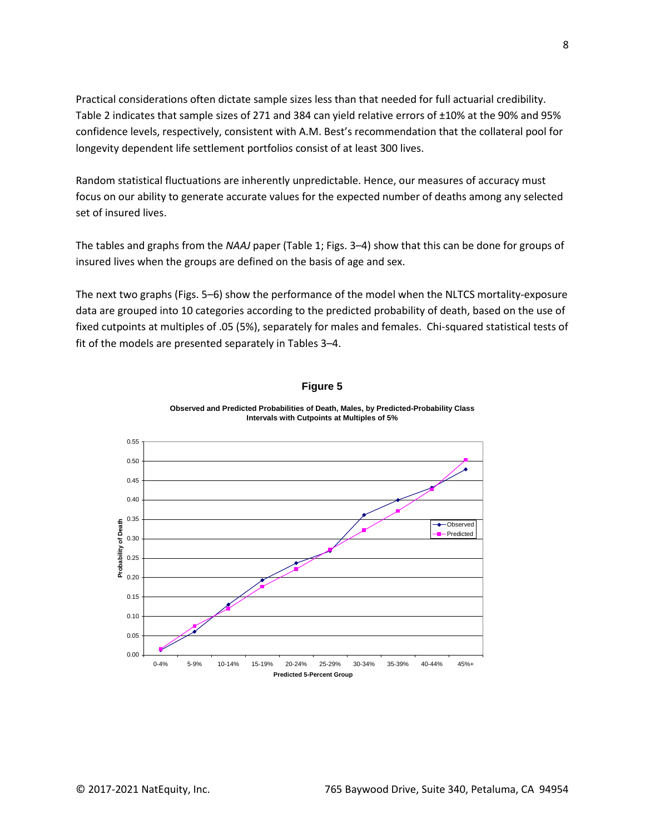Practical considerations often dictate sample sizes less than that needed for full actuarial credibility. Table 2 indicates that sample sizes of 271 and 384 can yield relative errors of ±10% at the 90% and 95% confidence levels, respectively, consistent with A.M. Best's recommendation that the collateral pool for longevity dependent life settlement portfolios consist of at least 300 lives.

Random statistical fluctuations are inherently unpredictable. Hence, our measures of accuracy must focus on our ability to generate accurate values for the expected number of deaths among any selected set of insured lives.

The tables and graphs from the *NAAJ* paper (Table 1; Figs. 3–4) show that this can be done for groups of insured lives when the groups are defined on the basis of age and sex.

The next two graphs (Figs. 5–6) show the performance of the model when the NLTCS mortality-exposure data are grouped into 10 categories according to the predicted probability of death, based on the use of fixed cutpoints at multiples of .05 (5%), separately for males and females. Chi-squared statistical tests of fit of the models are presented separately in Tables 3–4.



#### **Figure 5**

**Observed and Predicted Probabilities of Death, Males, by Predicted-Probability Class Intervals with Cutpoints at Multiples of 5%**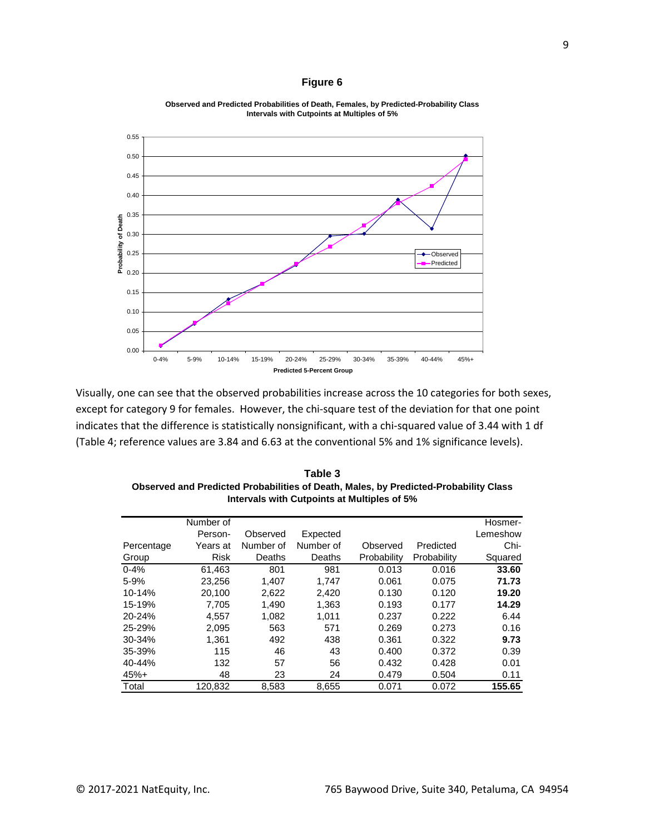#### **Figure 6**



**Observed and Predicted Probabilities of Death, Females, by Predicted-Probability Class Intervals with Cutpoints at Multiples of 5%**

Visually, one can see that the observed probabilities increase across the 10 categories for both sexes, except for category 9 for females. However, the chi-square test of the deviation for that one point indicates that the difference is statistically nonsignificant, with a chi-squared value of 3.44 with 1 df (Table 4; reference values are 3.84 and 6.63 at the conventional 5% and 1% significance levels).

**Table 3 Observed and Predicted Probabilities of Death, Males, by Predicted-Probability Class Intervals with Cutpoints at Multiples of 5%**

|            | Number of   |           |           |             |             | Hosmer-  |
|------------|-------------|-----------|-----------|-------------|-------------|----------|
|            | Person-     | Observed  | Expected  |             |             | Lemeshow |
| Percentage | Years at    | Number of | Number of | Observed    | Predicted   | Chi-     |
| Group      | <b>Risk</b> | Deaths    | Deaths    | Probability | Probability | Squared  |
| $0 - 4%$   | 61,463      | 801       | 981       | 0.013       | 0.016       | 33.60    |
| 5-9%       | 23,256      | 1.407     | 1.747     | 0.061       | 0.075       | 71.73    |
| 10-14%     | 20,100      | 2,622     | 2,420     | 0.130       | 0.120       | 19.20    |
| 15-19%     | 7,705       | 1,490     | 1,363     | 0.193       | 0.177       | 14.29    |
| 20-24%     | 4,557       | 1,082     | 1,011     | 0.237       | 0.222       | 6.44     |
| 25-29%     | 2.095       | 563       | 571       | 0.269       | 0.273       | 0.16     |
| 30-34%     | 1.361       | 492       | 438       | 0.361       | 0.322       | 9.73     |
| 35-39%     | 115         | 46        | 43        | 0.400       | 0.372       | 0.39     |
| $40 - 44%$ | 132         | 57        | 56        | 0.432       | 0.428       | 0.01     |
| $45%+$     | 48          | 23        | 24        | 0.479       | 0.504       | 0.11     |
| Total      | 120.832     | 8,583     | 8,655     | 0.071       | 0.072       | 155.65   |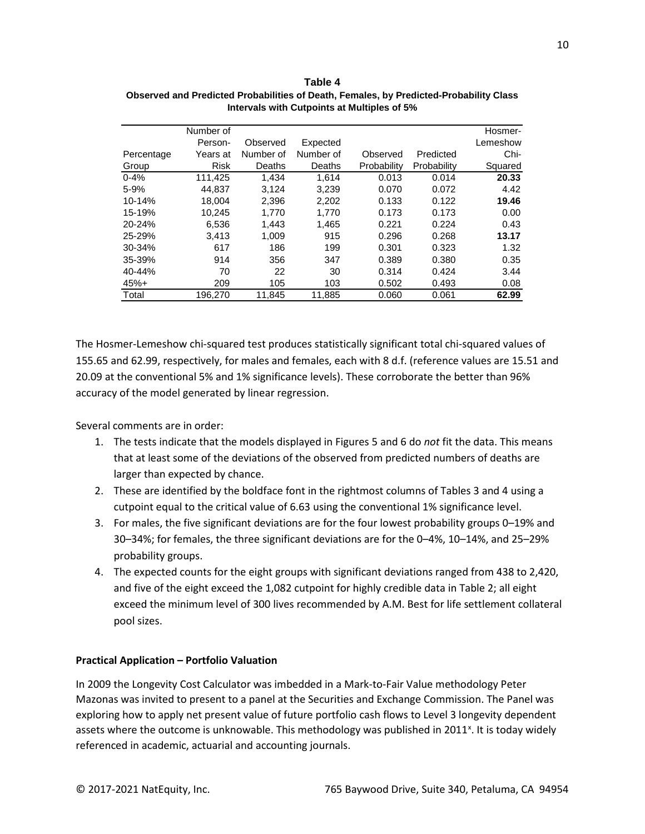|            | Number of |           |           |             |             | Hosmer-  |
|------------|-----------|-----------|-----------|-------------|-------------|----------|
|            | Person-   | Observed  | Expected  |             |             | Lemeshow |
| Percentage | Years at  | Number of | Number of | Observed    | Predicted   | Chi-     |
| Group      | Risk      | Deaths    | Deaths    | Probability | Probability | Squared  |
| $0 - 4%$   | 111.425   | 1.434     | 1.614     | 0.013       | 0.014       | 20.33    |
| 5-9%       | 44,837    | 3,124     | 3,239     | 0.070       | 0.072       | 4.42     |
| 10-14%     | 18.004    | 2.396     | 2.202     | 0.133       | 0.122       | 19.46    |
| 15-19%     | 10,245    | 1,770     | 1,770     | 0.173       | 0.173       | 0.00     |
| $20 - 24%$ | 6,536     | 1.443     | 1,465     | 0.221       | 0.224       | 0.43     |
| 25-29%     | 3.413     | 1.009     | 915       | 0.296       | 0.268       | 13.17    |
| 30-34%     | 617       | 186       | 199       | 0.301       | 0.323       | 1.32     |
| 35-39%     | 914       | 356       | 347       | 0.389       | 0.380       | 0.35     |
| $40 - 44%$ | 70        | 22        | 30        | 0.314       | 0.424       | 3.44     |
| $45%+$     | 209       | 105       | 103       | 0.502       | 0.493       | 0.08     |
| Total      | 196.270   | 11.845    | 11.885    | 0.060       | 0.061       | 62.99    |

**Table 4 Observed and Predicted Probabilities of Death, Females, by Predicted-Probability Class Intervals with Cutpoints at Multiples of 5%**

The Hosmer-Lemeshow chi-squared test produces statistically significant total chi-squared values of 155.65 and 62.99, respectively, for males and females, each with 8 d.f. (reference values are 15.51 and 20.09 at the conventional 5% and 1% significance levels). These corroborate the better than 96% accuracy of the model generated by linear regression.

Several comments are in order:

- 1. The tests indicate that the models displayed in Figures 5 and 6 do *not* fit the data. This means that at least some of the deviations of the observed from predicted numbers of deaths are larger than expected by chance.
- 2. These are identified by the boldface font in the rightmost columns of Tables 3 and 4 using a cutpoint equal to the critical value of 6.63 using the conventional 1% significance level.
- 3. For males, the five significant deviations are for the four lowest probability groups 0–19% and 30–34%; for females, the three significant deviations are for the 0–4%, 10–14%, and 25–29% probability groups.
- 4. The expected counts for the eight groups with significant deviations ranged from 438 to 2,420, and five of the eight exceed the 1,082 cutpoint for highly credible data in Table 2; all eight exceed the minimum level of 300 lives recommended by A.M. Best for life settlement collateral pool sizes.

## **Practical Application – Portfolio Valuation**

In 2009 the Longevity Cost Calculator was imbedded in a Mark-to-Fair Value methodology Peter Mazonas was invited to present to a panel at the Securities and Exchange Commission. The Panel was exploring how to apply net present value of future portfolio cash flows to Level 3 longevity dependent assets where the outcome is unknowable. This methodology was published in 2011<sup>x</sup>. It is today widely referenced in academic, actuarial and accounting journals.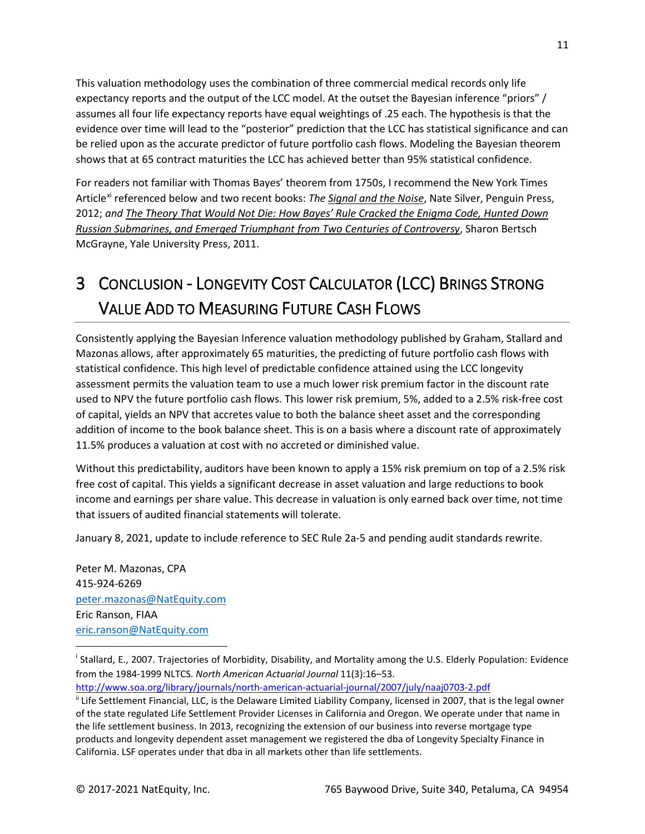This valuation methodology uses the combination of three commercial medical records only life expectancy reports and the output of the LCC model. At the outset the Bayesian inference "priors" / assumes all four life expectancy reports have equal weightings of .25 each. The hypothesis is that the evidence over time will lead to the "posterior" prediction that the LCC has statistical significance and can be relied upon as the accurate predictor of future portfolio cash flows. Modeling the Bayesian theorem shows that at 65 contract maturities the LCC has achieved better than 95% statistical confidence.

For readers not familiar with Thomas Bayes' theorem from 1750s, I recommend the New York Times Article[xi](#page-11-8) referenced below and two recent books: *The Signal and the Noise*, Nate Silver, Penguin Press, 2012; *and The Theory That Would Not Die: How Bayes' Rule Cracked the Enigma Code, Hunted Down Russian Submarines, and Emerged Triumphant from Two Centuries of Controversy*, Sharon Bertsch McGrayne, Yale University Press, 2011.

## 3 CONCLUSION - LONGEVITY COST CALCULATOR (LCC) BRINGS STRONG VALUE ADD TO MEASURING FUTURE CASH FLOWS

Consistently applying the Bayesian Inference valuation methodology published by Graham, Stallard and Mazonas allows, after approximately 65 maturities, the predicting of future portfolio cash flows with statistical confidence. This high level of predictable confidence attained using the LCC longevity assessment permits the valuation team to use a much lower risk premium factor in the discount rate used to NPV the future portfolio cash flows. This lower risk premium, 5%, added to a 2.5% risk-free cost of capital, yields an NPV that accretes value to both the balance sheet asset and the corresponding addition of income to the book balance sheet. This is on a basis where a discount rate of approximately 11.5% produces a valuation at cost with no accreted or diminished value.

Without this predictability, auditors have been known to apply a 15% risk premium on top of a 2.5% risk free cost of capital. This yields a significant decrease in asset valuation and large reductions to book income and earnings per share value. This decrease in valuation is only earned back over time, not time that issuers of audited financial statements will tolerate.

January 8, 2021, update to include reference to SEC Rule 2a-5 and pending audit standards rewrite.

Peter M. Mazonas, CPA 415-924-6269 [peter.mazonas@NatEquity.com](mailto:peter.mazonas@NatEquity.com) Eric Ranson, FIAA [eric.ranson@NatEquity.com](mailto:eric.ranson@NatEquity.com)

<span id="page-10-0"></span><sup>&</sup>lt;sup>i</sup> Stallard, E., 2007. Trajectories of Morbidity, Disability, and Mortality among the U.S. Elderly Population: Evidence from the 1984-1999 NLTCS. *North American Actuarial Journal* 11(3):16–53.

<http://www.soa.org/library/journals/north-american-actuarial-journal/2007/july/naaj0703-2.pdf>

<span id="page-10-1"></span><sup>&</sup>lt;sup>ii</sup> Life Settlement Financial, LLC, is the Delaware Limited Liability Company, licensed in 2007, that is the legal owner of the state regulated Life Settlement Provider Licenses in California and Oregon. We operate under that name in the life settlement business. In 2013, recognizing the extension of our business into reverse mortgage type products and longevity dependent asset management we registered the dba of Longevity Specialty Finance in California. LSF operates under that dba in all markets other than life settlements.